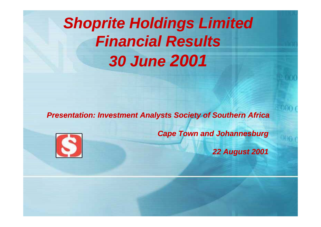# *Shoprite Holdings Limited Fi i l R lt FinanciaResults30 June 2001*

**Presentation: Investment Analysts Society of Southern Africa** 



*Cape Town and Johannesburg*

*22 August 2001*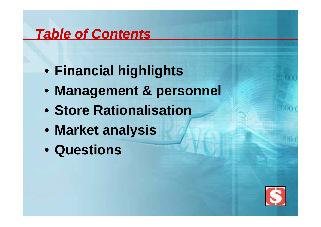## *Table of Contents*

- **Financial highlights**
- **Management & personnel**
- **Store Rationalisation**
- **Market analysis**
- **Questions**

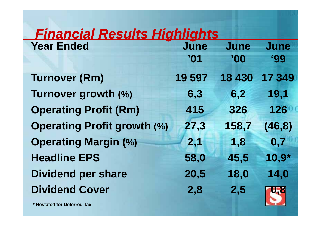## *Financial Results Highlights*

| <b>Year Ended</b>                  | June   | June   | <b>June</b> |
|------------------------------------|--------|--------|-------------|
|                                    | '01    | "00"   | <b>'99</b>  |
| <b>Turnover (Rm)</b>               | 19 597 | 18 430 | 17 349      |
| Turnover growth (%)                | 6,3    | 6,2    | 19,1        |
| <b>Operating Profit (Rm)</b>       | 415    | 326    | 126         |
| <b>Operating Profit growth (%)</b> | 27,3   | 158,7  | (46, 8)     |
| <b>Operating Margin (%)</b>        | 2,1    | 1,8    | 0,7         |
| <b>Headline EPS</b>                | 58,0   | 45,5   | $10,9*$     |
| <b>Dividend per share</b>          | 20,5   | 18,0   | 14,0        |
| <b>Dividend Cover</b>              | 2,8    | 2,5    | 0,8         |

**\* Restated for Deferred Tax**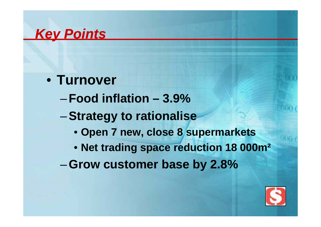#### *Key Points*

- **Turnover**
	- –**Food inflation – 3.9%**
	- –**St t t ti li Strategy to rationalise**
		- **Open 7 new, close 8 supermarkets**
		- **Net trading space reduction 18 000m²**
	- –**Grow customer base by 2 8% 2.8%**

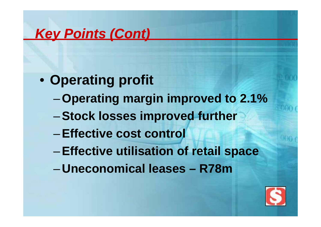## *Key Points (Cont)*

- **Operating profit**
	- –**Operating margin improved to 2.1%**
	- $-$  **Stock losses improved further**
	- –**Effective cost control**
	- –**Effective utilisation of retail space**
	- –**U i ll neconomical leases – R78 m**

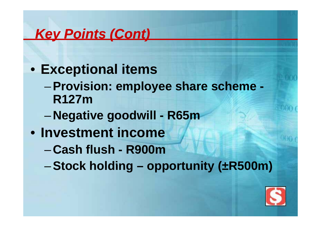## *Key Points (Cont)*

- **Exceptional items** 
	- –**Provision: employee share scheme employee -R127m**
	- –**Negative goodwill goodwill - R65m**
- **Investment income**
	- –**Cash flush - R900m**
	- –**Stock holding –opportunity ( ±R500m)**

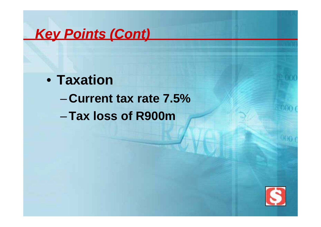#### *Key Points (Cont)*

• **Taxation**– **Current tax rate 7.5%**–**T l f R900 Tax loss om**\_\_\_\_\_\_\_\_

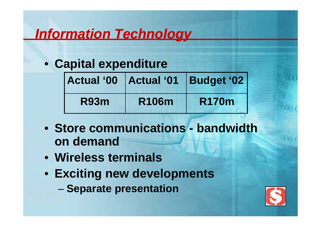## *Information Technology*

• **Capital expenditure**

| <b>Actual '00</b> |              | Actual '01   Budget '02 |  |
|-------------------|--------------|-------------------------|--|
| <b>R93m</b>       | <b>R106m</b> | <b>R170m</b>            |  |

- **Store communications - bandwidth on demand**
- **Wireless terminals**
- **Exciting new developments**
	- –**Separate presentation**

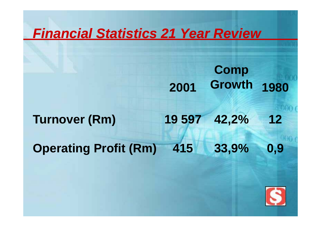#### *Financial Statistics 21 Year Review*

**2001 Comp Growth 1980**

**Turnover (Rm) 19 597 42,2% 12**

**Operating Profit (Rm) 415 33,9% 0,9**

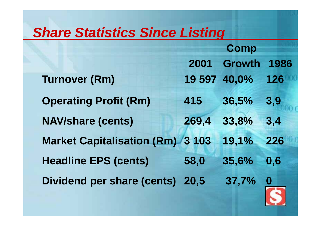#### *Share Statistics Since Listing*

**2001Comp Growth 1986 Turnover (Rm) 19 597 40,0% 126 Operating Profit (Rm) 415 36,5% 3,9 NAV/share (cents) 269,4 33,8% 3,4 Market Capitalisation (Rm) 3 103 19 1%, 226 Headline EPS ( ) cents 58,0 35,6% 0,6 Dividend per share (cents) 20,5 37,7% 0**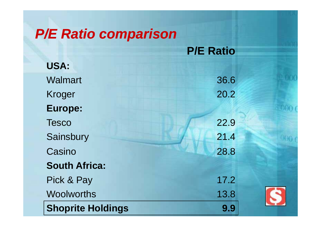## *P/E Ratio comparison P/E*

|                          | $\Gamma$ /L Induct |
|--------------------------|--------------------|
| USA:                     |                    |
| <b>Walmart</b>           | 36.6               |
| <b>Kroger</b>            | 20.2               |
| Europe:                  |                    |
| <b>Tesco</b>             | 22.9               |
| Sainsbury                | 21.4               |
| Casino                   | 28.8               |
| <b>South Africa:</b>     |                    |
| Pick & Pay               | 17.2               |
| <b>Woolworths</b>        | 13.8               |
| <b>Shoprite Holdings</b> | 9.9                |

**P/E Ratio**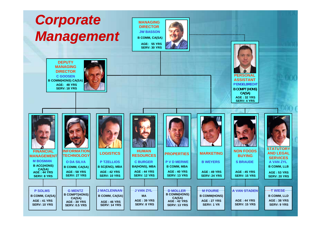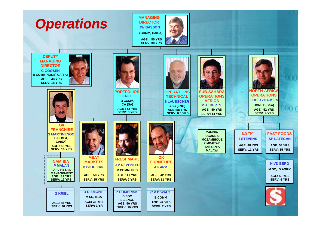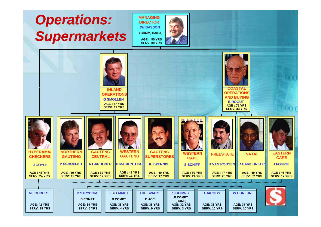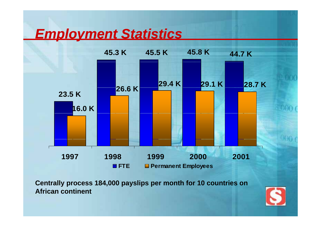#### *Employment Statistics*



**Centrally process 184,000 payslips per month for 10 countries on African continent**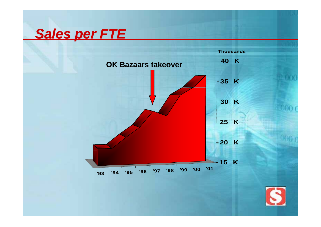## *Sales per FTE*



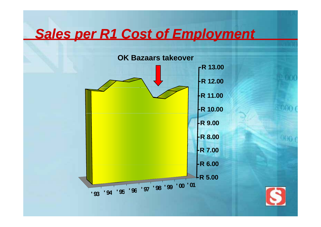## *Sales per R1 Cost of Employment*



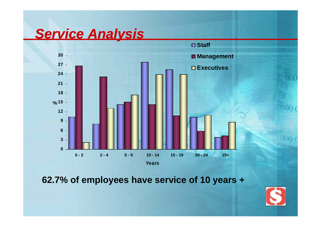#### **Service** *Analysis*



**62.7% of employees have service of 10 years +**

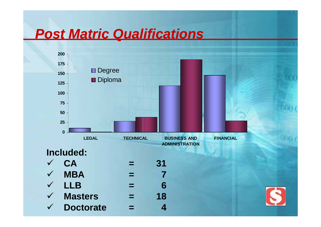## *Post Matric Qualifications*

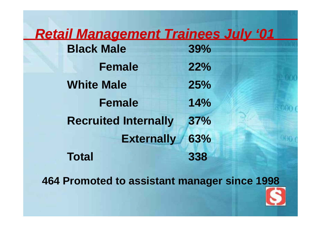#### *Retail Management Trainees July '01*

| <b>Black Male</b>           | 39% |
|-----------------------------|-----|
| <b>Female</b>               | 22% |
| <b>White Male</b>           | 25% |
| <b>Female</b>               | 14% |
| <b>Recruited Internally</b> | 37% |
| <b>Externally</b>           | 63% |
| <b>Total</b>                | 338 |

**464 Promoted to assistant manager since 1998**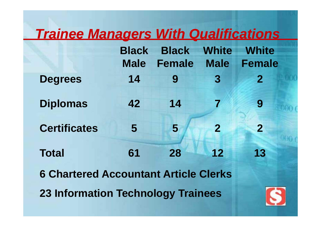## *Trainee Managers With Qualifications*

|                                              | <b>Black</b> | <b>Black</b>  | <b>White</b>   | <b>White</b>   |
|----------------------------------------------|--------------|---------------|----------------|----------------|
|                                              | <b>Male</b>  | <b>Female</b> | <b>Male</b>    | <b>Female</b>  |
| <b>Degrees</b>                               | 14           | 9             | $\overline{3}$ | $\overline{2}$ |
| <b>Diplomas</b>                              | 42           | 14            |                | 9              |
| <b>Certificates</b>                          | 5            | 5             | $\overline{2}$ | $\overline{2}$ |
| <b>Total</b>                                 | 61           | 28            | 12             | 13             |
| <b>6 Chartered Accountant Article Clerks</b> |              |               |                |                |
| <b>23 Information Technology Trainees</b>    |              |               |                |                |

**Contract Contract Contract**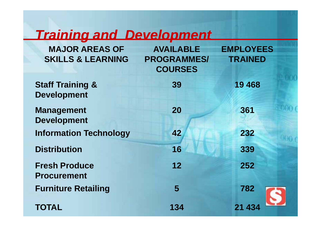## *Training and Development*

| <b>MAJOR AREAS OF</b><br><b>SKILLS &amp; LEARNING</b> | <b>AVAILABLE</b><br><b>PROGRAMMES/</b><br><b>COURSES</b> | <b>EMPLOYEES</b><br><b>TRAINED</b> |
|-------------------------------------------------------|----------------------------------------------------------|------------------------------------|
| <b>Staff Training &amp;</b><br><b>Development</b>     | 39                                                       | 19 4 68                            |
| <b>Management</b><br><b>Development</b>               | 20                                                       | 361                                |
| <b>Information Technology</b>                         | 42                                                       | 232                                |
| <b>Distribution</b>                                   | 16                                                       | 339                                |
| <b>Fresh Produce</b><br><b>Procurement</b>            | 12                                                       | 252                                |
| <b>Furniture Retailing</b>                            | 5                                                        | 782                                |
| <b>TOTAL</b>                                          | 134                                                      | 21 43                              |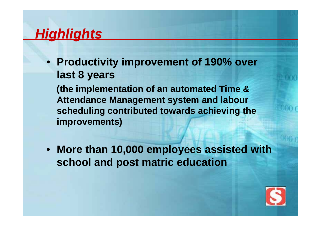#### *Highlights*

• **Productivity improvement of 190% over last 8 years**

**(the implementation of an automated Time & Attendance Management system and labour scheduling contributed towards achieving the improvements)**

• **More than 10,000 employees assisted with school and post matric education**

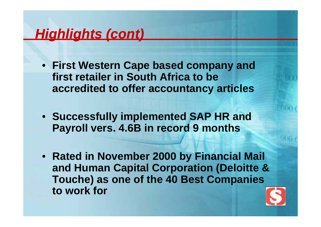## *Highlights (cont)*

- **Fi t W t C b d d Firs Wes tern Cape base d company an first retailer in South Africa to be accredited to offer accountancy articles**
- Successfully implemented SAP HR and **Payroll vers. 4.6B in record 9 months**
- **Rated in November 2000 by Financial Mail**  and Human Capital Corporation (Deloitte & **Touche) as one of the 40 Best Companies to work for**\_\_\_\_\_\_\_\_\_\_\_\_

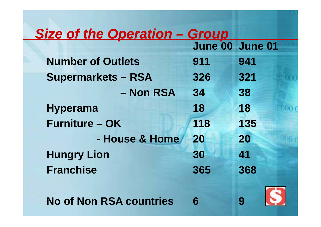#### *Size of the Operation –Group*

|                                | June 00 June 01 |     |
|--------------------------------|-----------------|-----|
| <b>Number of Outlets</b>       | 911             | 941 |
| <b>Supermarkets - RSA</b>      | 326             | 321 |
| - Non RSA                      | 34              | 38  |
| <b>Hyperama</b>                | 18              | 18  |
| <b>Furniture - OK</b>          | 118             | 135 |
| - House & Home                 | 20              | 20  |
| <b>Hungry Lion</b>             | 30              | 41  |
| <b>Franchise</b>               | 365             | 368 |
|                                |                 |     |
| <b>No of Non RSA countries</b> | 6               |     |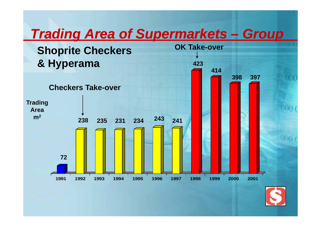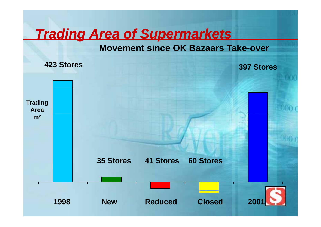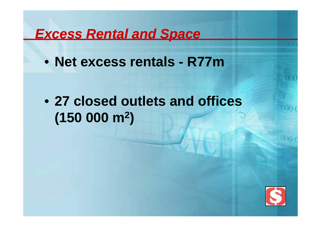#### *Excess Rental and Space*

• **Net excess rentals -R77m**

• **27 closed outlets and offices (150 000 2 000 m )**

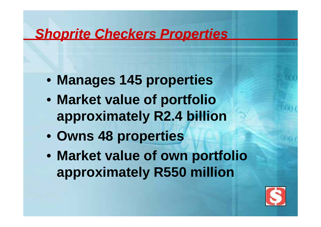#### *Shoprite Checkers Properties*

- **Manages 145 properties**
- **Market value of portfolio approxi t l R2 4 billi ima t e ly . billion**
- **Owns 48 properties**
- **Market value of own portfolio approximately R550 million**